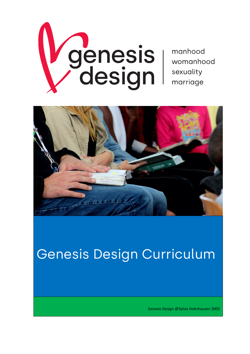

manhood womanhood sexuality marriage



# Genesis Design Curriculum

Genesis Design @Sylvia Holtzhausen 2003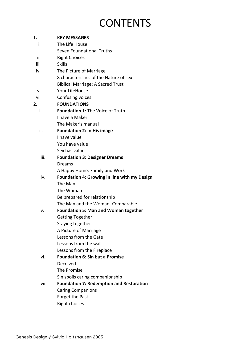## **CONTENTS**

## **1. KEY MESSAGES**  i. The Life House

- Seven Foundational Truths
- ii. Right Choices
- iii. Skills
- iv. The Picture of Marriage 8 characteristics of the Nature of sex Biblical Marriage: A Sacred Trust
- v. Your LifeHouse
- vi. Confusing voices

### **2. FOUNDATIONS**

- i. **Foundation 1:** The Voice of Truth I have a Maker The Maker's manual
- ii. **Foundation 2: In His image** I have value You have value

Sex has value

#### iii. **Foundation 3: Designer Dreams** Dreams A Happy Home: Family and Work

## iv. **Foundation 4: Growing in line with my Design** The Man

The Woman Be prepared for relationship The Man and the Woman- Comparable

#### v. **Foundation 5: Man and Woman together** Getting Together Staying together

- A Picture of Marriage
- Lessons from the Gate
- Lessons from the wall
- Lessons from the Fireplace

#### vi. **Foundation 6: Sin but a Promise** Deceived

- The Promise
- Sin spoils caring companionship

#### vii. **Foundation 7: Redemption and Restoration** Caring Companions Forget the Past Right choices